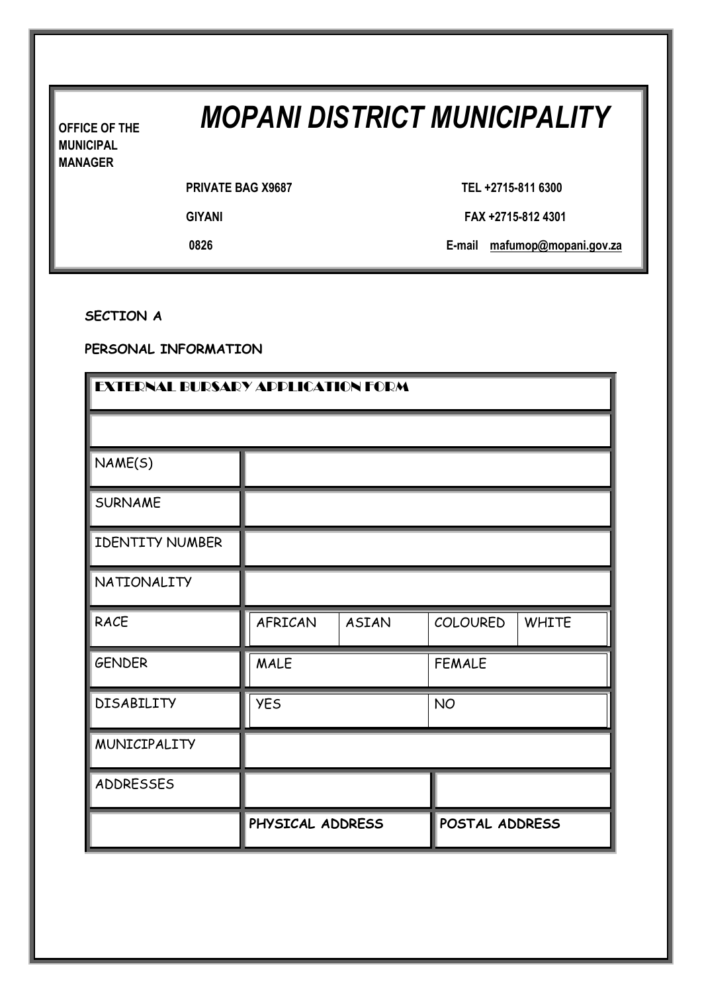# *MOPANI DISTRICT MUNICIPALITY*

**OFFICE OF THE MUNICIPAL MANAGER**

|  | <b>PRIVATE BAG X9687</b> |  |
|--|--------------------------|--|
|  |                          |  |

**PRIVATE BAG X9687 TEL +2715-811 6300**

**GIYANI FAX +2715-812 4301**

**0826 E-mail mafumop@mopani.gov.za**

**SECTION A**

**PERSONAL INFORMATION**

| <b>EXTERNAL BURSARY ADDLICATION FORM</b> |                  |              |                 |              |
|------------------------------------------|------------------|--------------|-----------------|--------------|
|                                          |                  |              |                 |              |
| NAME(S)                                  |                  |              |                 |              |
| <b>SURNAME</b>                           |                  |              |                 |              |
| <b>IDENTITY NUMBER</b>                   |                  |              |                 |              |
| <b>NATIONALITY</b>                       |                  |              |                 |              |
| <b>RACE</b>                              | AFRICAN          | <b>ASIAN</b> | <b>COLOURED</b> | <b>WHITE</b> |
| <b>GENDER</b>                            | <b>MALE</b>      |              | <b>FEMALE</b>   |              |
| <b>DISABILITY</b>                        | <b>YES</b>       |              | <b>NO</b>       |              |
| MUNICIPALITY                             |                  |              |                 |              |
| <b>ADDRESSES</b>                         |                  |              |                 |              |
|                                          | PHYSICAL ADDRESS |              | POSTAL ADDRESS  |              |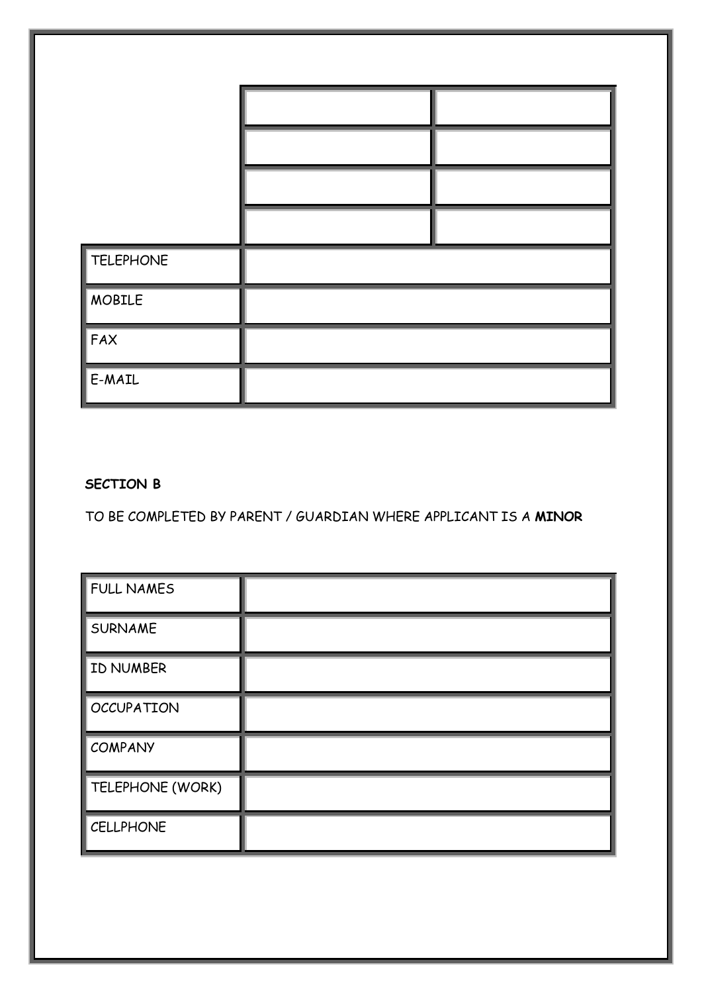| <b>TELEPHONE</b> |  |  |
|------------------|--|--|
| <b>MOBILE</b>    |  |  |
| FAX              |  |  |
| E-MAIL           |  |  |

## **SECTION B**

TO BE COMPLETED BY PARENT / GUARDIAN WHERE APPLICANT IS A **MINOR**

| FULL NAMES        |  |
|-------------------|--|
| <b>SURNAME</b>    |  |
| ID NUMBER         |  |
| <b>OCCUPATION</b> |  |
| <b>COMPANY</b>    |  |
| TELEPHONE (WORK)  |  |
| <b>CELLPHONE</b>  |  |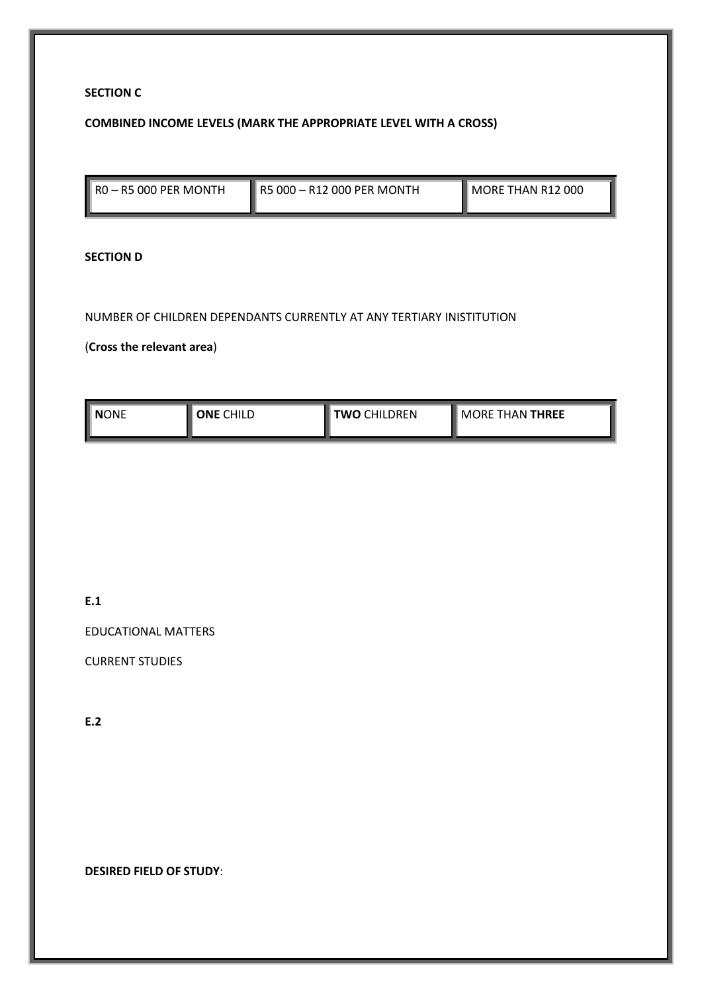#### **SECTION C**

#### **COMBINED INCOME LEVELS (MARK THE APPROPRIATE LEVEL WITH A CROSS)**

| $\parallel$ RO - R5 000 PER MONTH | R5 000 – R12 000 PER MONTH | MORE THAN R12 000 |
|-----------------------------------|----------------------------|-------------------|

#### **SECTION D**

#### NUMBER OF CHILDREN DEPENDANTS CURRENTLY AT ANY TERTIARY INISTITUTION

## (**Cross the relevant area**)

| II NONE | <b>CHILD</b> | <b>CHILDREN</b> | <b>THAN THREE</b>        |
|---------|--------------|-----------------|--------------------------|
| ı       | ∩NF          | rwo             | $\sqrt{\mathsf{MORF}}$ : |
|         |              |                 |                          |

### **E.1**

EDUCATIONAL MATTERS

CURRENT STUDIES

**E.2**

**DESIRED FIELD OF STUDY**: